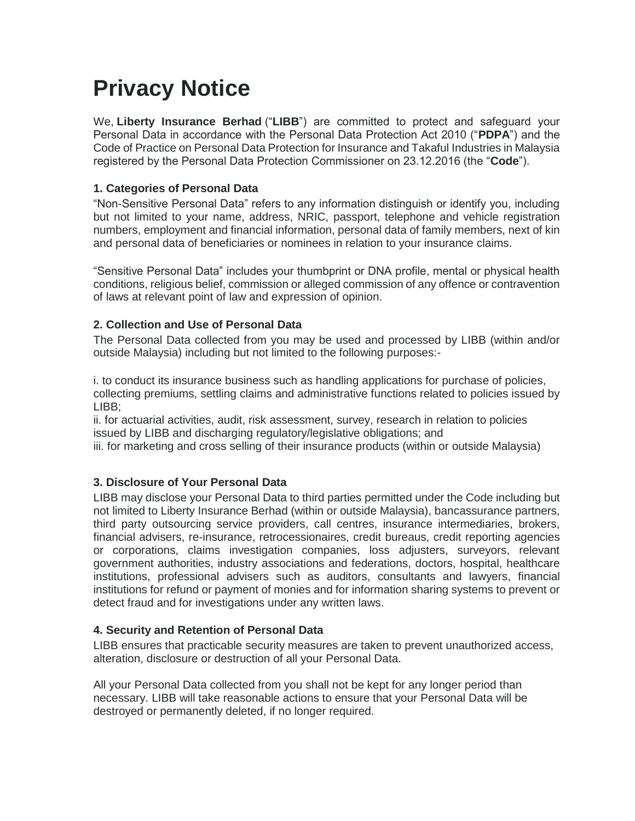# **Privacy Notice**

We, **Liberty Insurance Berhad** ("**LIBB**") are committed to protect and safeguard your Personal Data in accordance with the Personal Data Protection Act 2010 ("**PDPA**") and the Code of Practice on Personal Data Protection for Insurance and Takaful Industries in Malaysia registered by the Personal Data Protection Commissioner on 23.12.2016 (the "**Code**").

### **1. Categories of Personal Data**

"Non-Sensitive Personal Data" refers to any information distinguish or identify you, including but not limited to your name, address, NRIC, passport, telephone and vehicle registration numbers, employment and financial information, personal data of family members, next of kin and personal data of beneficiaries or nominees in relation to your insurance claims.

"Sensitive Personal Data" includes your thumbprint or DNA profile, mental or physical health conditions, religious belief, commission or alleged commission of any offence or contravention of laws at relevant point of law and expression of opinion.

## **2. Collection and Use of Personal Data**

The Personal Data collected from you may be used and processed by LIBB (within and/or outside Malaysia) including but not limited to the following purposes:-

i. to conduct its insurance business such as handling applications for purchase of policies, collecting premiums, settling claims and administrative functions related to policies issued by LIBB;

ii. for actuarial activities, audit, risk assessment, survey, research in relation to policies issued by LIBB and discharging regulatory/legislative obligations; and

iii. for marketing and cross selling of their insurance products (within or outside Malaysia)

#### **3. Disclosure of Your Personal Data**

LIBB may disclose your Personal Data to third parties permitted under the Code including but not limited to Liberty Insurance Berhad (within or outside Malaysia), bancassurance partners, third party outsourcing service providers, call centres, insurance intermediaries, brokers, financial advisers, re-insurance, retrocessionaires, credit bureaus, credit reporting agencies or corporations, claims investigation companies, loss adjusters, surveyors, relevant government authorities, industry associations and federations, doctors, hospital, healthcare institutions, professional advisers such as auditors, consultants and lawyers, financial institutions for refund or payment of monies and for information sharing systems to prevent or detect fraud and for investigations under any written laws.

#### **4. Security and Retention of Personal Data**

LIBB ensures that practicable security measures are taken to prevent unauthorized access, alteration, disclosure or destruction of all your Personal Data.

All your Personal Data collected from you shall not be kept for any longer period than necessary. LIBB will take reasonable actions to ensure that your Personal Data will be destroyed or permanently deleted, if no longer required.